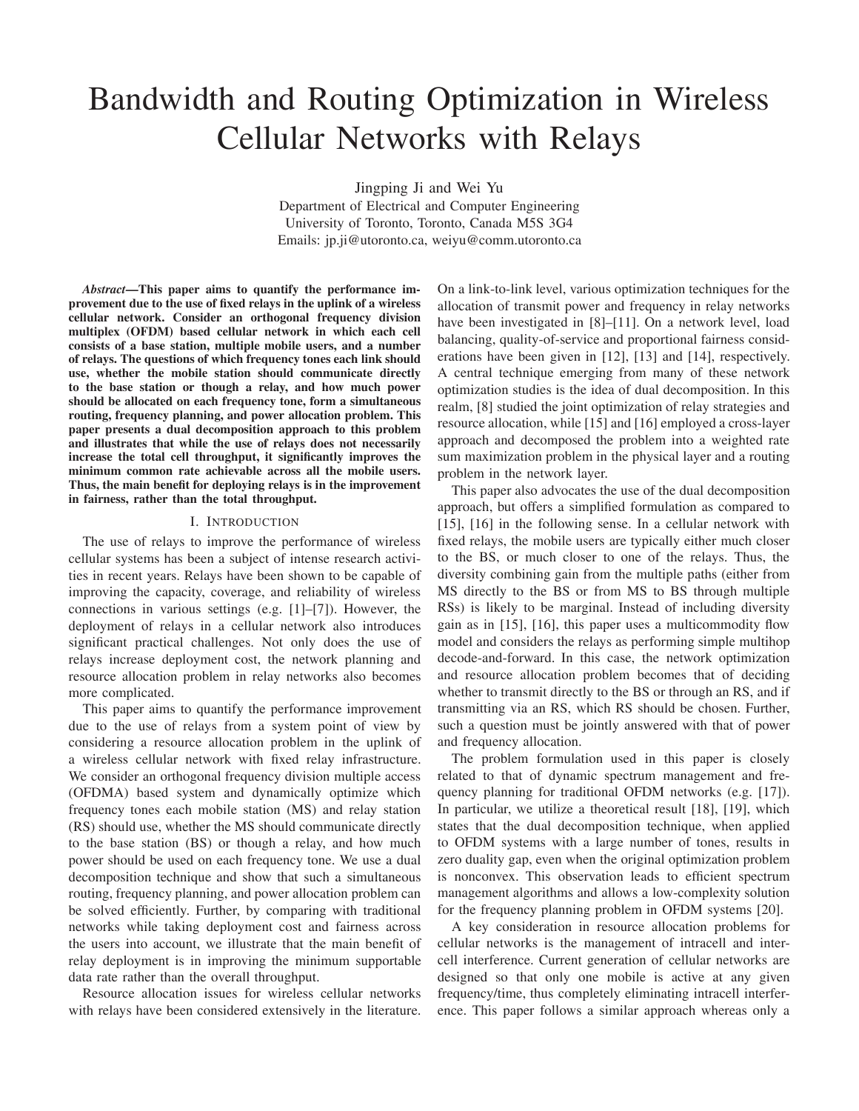# Bandwidth and Routing Optimization in Wireless Cellular Networks with Relays

Jingping Ji and Wei Yu

Department of Electrical and Computer Engineering University of Toronto, Toronto, Canada M5S 3G4 Emails: jp.ji@utoronto.ca, weiyu@comm.utoronto.ca

*Abstract***—This paper aims to quantify the performance improvement due to the use of fixed relays in the uplink of a wireless cellular network. Consider an orthogonal frequency division multiplex (OFDM) based cellular network in which each cell consists of a base station, multiple mobile users, and a number of relays. The questions of which frequency tones each link should use, whether the mobile station should communicate directly to the base station or though a relay, and how much power should be allocated on each frequency tone, form a simultaneous routing, frequency planning, and power allocation problem. This paper presents a dual decomposition approach to this problem and illustrates that while the use of relays does not necessarily increase the total cell throughput, it significantly improves the minimum common rate achievable across all the mobile users. Thus, the main benefit for deploying relays is in the improvement in fairness, rather than the total throughput.**

## I. INTRODUCTION

The use of relays to improve the performance of wireless cellular systems has been a subject of intense research activities in recent years. Relays have been shown to be capable of improving the capacity, coverage, and reliability of wireless connections in various settings (e.g. [1]–[7]). However, the deployment of relays in a cellular network also introduces significant practical challenges. Not only does the use of relays increase deployment cost, the network planning and resource allocation problem in relay networks also becomes more complicated.

This paper aims to quantify the performance improvement due to the use of relays from a system point of view by considering a resource allocation problem in the uplink of a wireless cellular network with fixed relay infrastructure. We consider an orthogonal frequency division multiple access (OFDMA) based system and dynamically optimize which frequency tones each mobile station (MS) and relay station (RS) should use, whether the MS should communicate directly to the base station (BS) or though a relay, and how much power should be used on each frequency tone. We use a dual decomposition technique and show that such a simultaneous routing, frequency planning, and power allocation problem can be solved efficiently. Further, by comparing with traditional networks while taking deployment cost and fairness across the users into account, we illustrate that the main benefit of relay deployment is in improving the minimum supportable data rate rather than the overall throughput.

Resource allocation issues for wireless cellular networks with relays have been considered extensively in the literature.

On a link-to-link level, various optimization techniques for the allocation of transmit power and frequency in relay networks have been investigated in [8]–[11]. On a network level, load balancing, quality-of-service and proportional fairness considerations have been given in [12], [13] and [14], respectively. A central technique emerging from many of these network optimization studies is the idea of dual decomposition. In this realm, [8] studied the joint optimization of relay strategies and resource allocation, while [15] and [16] employed a cross-layer approach and decomposed the problem into a weighted rate sum maximization problem in the physical layer and a routing problem in the network layer.

This paper also advocates the use of the dual decomposition approach, but offers a simplified formulation as compared to [15], [16] in the following sense. In a cellular network with fixed relays, the mobile users are typically either much closer to the BS, or much closer to one of the relays. Thus, the diversity combining gain from the multiple paths (either from MS directly to the BS or from MS to BS through multiple RSs) is likely to be marginal. Instead of including diversity gain as in [15], [16], this paper uses a multicommodity flow model and considers the relays as performing simple multihop decode-and-forward. In this case, the network optimization and resource allocation problem becomes that of deciding whether to transmit directly to the BS or through an RS, and if transmitting via an RS, which RS should be chosen. Further, such a question must be jointly answered with that of power and frequency allocation.

The problem formulation used in this paper is closely related to that of dynamic spectrum management and frequency planning for traditional OFDM networks (e.g. [17]). In particular, we utilize a theoretical result [18], [19], which states that the dual decomposition technique, when applied to OFDM systems with a large number of tones, results in zero duality gap, even when the original optimization problem is nonconvex. This observation leads to efficient spectrum management algorithms and allows a low-complexity solution for the frequency planning problem in OFDM systems [20].

A key consideration in resource allocation problems for cellular networks is the management of intracell and intercell interference. Current generation of cellular networks are designed so that only one mobile is active at any given frequency/time, thus completely eliminating intracell interference. This paper follows a similar approach whereas only a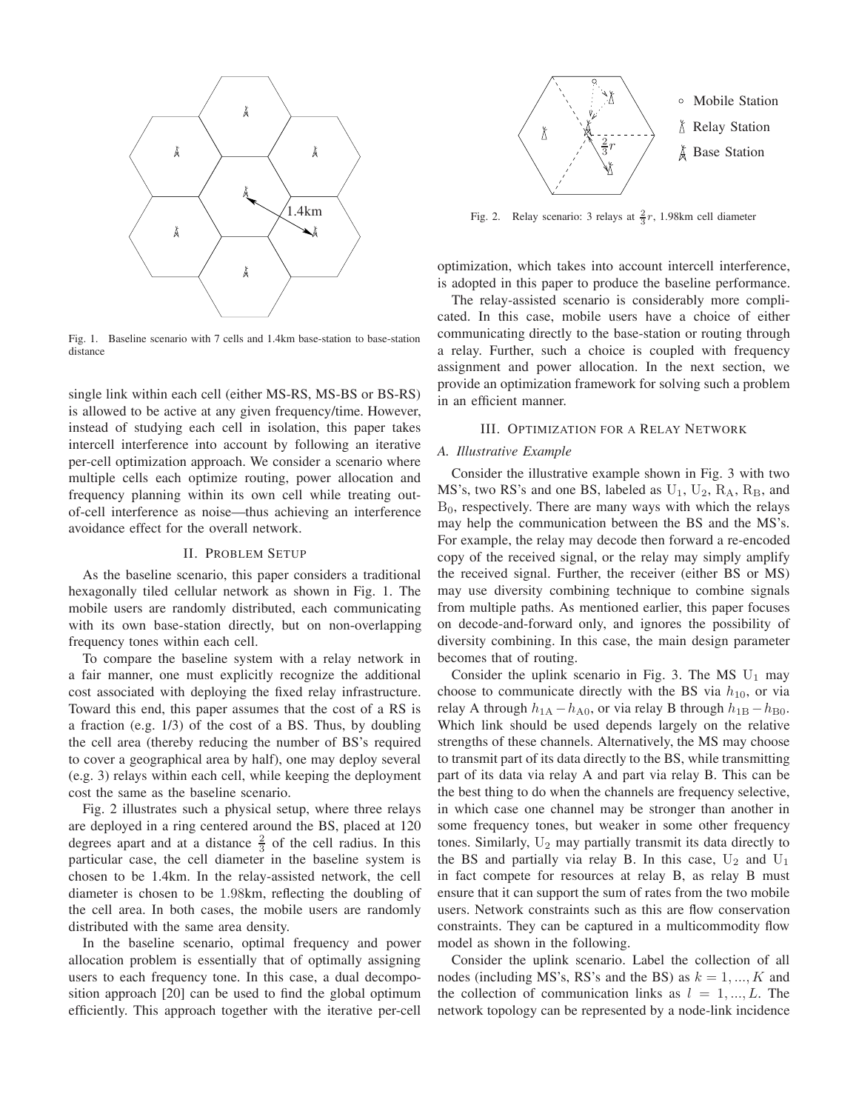

Fig. 1. Baseline scenario with 7 cells and 1.4km base-station to base-station distance

single link within each cell (either MS-RS, MS-BS or BS-RS) is allowed to be active at any given frequency/time. However, instead of studying each cell in isolation, this paper takes intercell interference into account by following an iterative per-cell optimization approach. We consider a scenario where multiple cells each optimize routing, power allocation and frequency planning within its own cell while treating outof-cell interference as noise—thus achieving an interference avoidance effect for the overall network.

# II. PROBLEM SETUP

As the baseline scenario, this paper considers a traditional hexagonally tiled cellular network as shown in Fig. 1. The mobile users are randomly distributed, each communicating with its own base-station directly, but on non-overlapping frequency tones within each cell.

To compare the baseline system with a relay network in a fair manner, one must explicitly recognize the additional cost associated with deploying the fixed relay infrastructure. Toward this end, this paper assumes that the cost of a RS is a fraction (e.g. 1/3) of the cost of a BS. Thus, by doubling the cell area (thereby reducing the number of BS's required to cover a geographical area by half), one may deploy several (e.g. 3) relays within each cell, while keeping the deployment cost the same as the baseline scenario.

Fig. 2 illustrates such a physical setup, where three relays are deployed in a ring centered around the BS, placed at 120 degrees apart and at a distance  $\frac{2}{3}$  of the cell radius. In this particular case, the cell diameter in the baseline system is chosen to be 1.4km. In the relay-assisted network, the cell diameter is chosen to be 1.98km, reflecting the doubling of the cell area. In both cases, the mobile users are randomly distributed with the same area density.

In the baseline scenario, optimal frequency and power allocation problem is essentially that of optimally assigning users to each frequency tone. In this case, a dual decomposition approach [20] can be used to find the global optimum efficiently. This approach together with the iterative per-cell



Fig. 2. Relay scenario: 3 relays at  $\frac{2}{3}r$ , 1.98km cell diameter

optimization, which takes into account intercell interference, is adopted in this paper to produce the baseline performance.

The relay-assisted scenario is considerably more complicated. In this case, mobile users have a choice of either communicating directly to the base-station or routing through a relay. Further, such a choice is coupled with frequency assignment and power allocation. In the next section, we provide an optimization framework for solving such a problem in an efficient manner.

## III. OPTIMIZATION FOR A RELAY NETWORK

# *A. Illustrative Example*

Consider the illustrative example shown in Fig. 3 with two MS's, two RS's and one BS, labeled as  $U_1$ ,  $U_2$ ,  $R_A$ ,  $R_B$ , and  $B<sub>0</sub>$ , respectively. There are many ways with which the relays may help the communication between the BS and the MS's. For example, the relay may decode then forward a re-encoded copy of the received signal, or the relay may simply amplify the received signal. Further, the receiver (either BS or MS) may use diversity combining technique to combine signals from multiple paths. As mentioned earlier, this paper focuses on decode-and-forward only, and ignores the possibility of diversity combining. In this case, the main design parameter becomes that of routing.

Consider the uplink scenario in Fig. 3. The MS  $U_1$  may choose to communicate directly with the BS via  $h_{10}$ , or via relay A through  $h_{1A} - h_{A0}$ , or via relay B through  $h_{1B} - h_{B0}$ . Which link should be used depends largely on the relative strengths of these channels. Alternatively, the MS may choose to transmit part of its data directly to the BS, while transmitting part of its data via relay A and part via relay B. This can be the best thing to do when the channels are frequency selective, in which case one channel may be stronger than another in some frequency tones, but weaker in some other frequency tones. Similarly,  $U_2$  may partially transmit its data directly to the BS and partially via relay B. In this case,  $U_2$  and  $U_1$ in fact compete for resources at relay B, as relay B must ensure that it can support the sum of rates from the two mobile users. Network constraints such as this are flow conservation constraints. They can be captured in a multicommodity flow model as shown in the following.

Consider the uplink scenario. Label the collection of all nodes (including MS's, RS's and the BS) as  $k = 1, ..., K$  and the collection of communication links as  $l = 1, ..., L$ . The network topology can be represented by a node-link incidence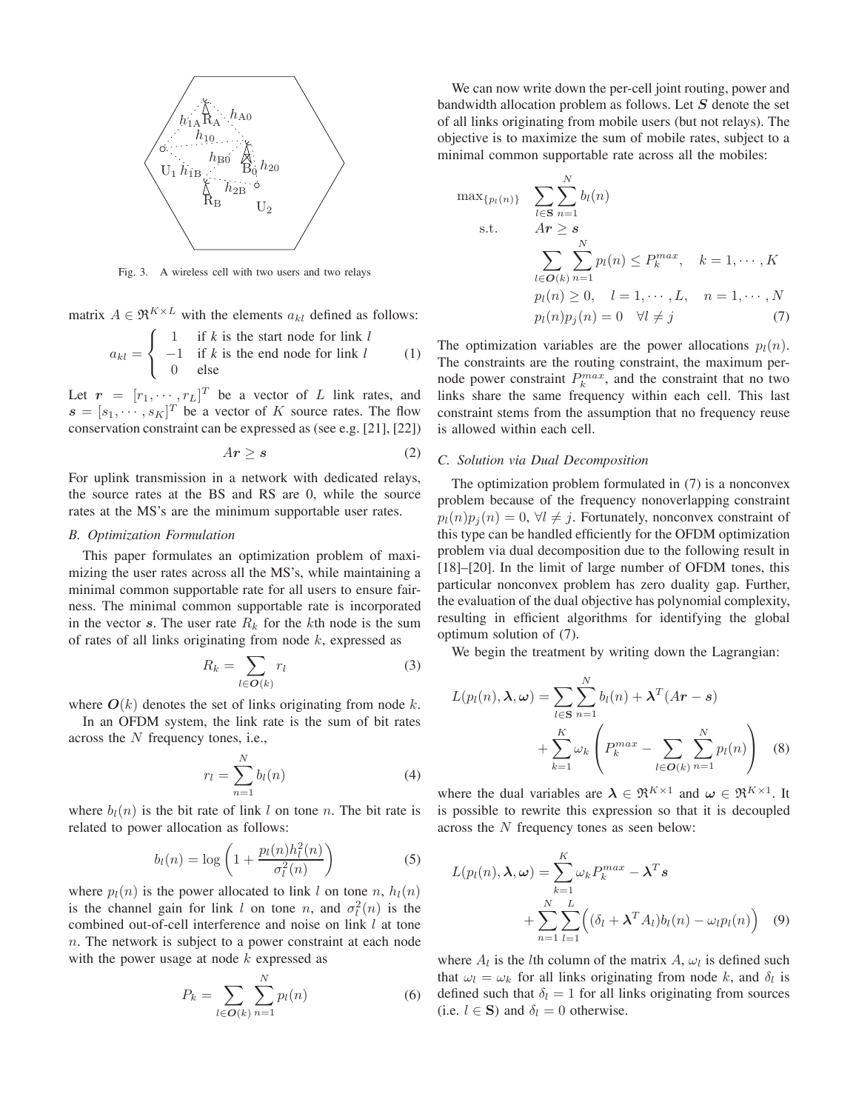

Fig. 3. A wireless cell with two users and two relays

matrix  $A \in \mathfrak{R}^{K \times L}$  with the elements  $a_{kl}$  defined as follows:

$$
a_{kl} = \begin{cases} 1 & \text{if } k \text{ is the start node for link } l \\ -1 & \text{if } k \text{ is the end node for link } l \\ 0 & \text{else} \end{cases}
$$
 (1)

Let  $\mathbf{r} = [r_1, \dots, r_L]^T$  be a vector of L link rates, and  $\mathbf{s} = [s_1, \dots, s_L]^T$  be a vector of K source rates. The flow  $s = [s_1, \dots, s_K]^T$  be a vector of K source rates. The flow<br>conservation constraint can be expressed as (see e.g. [21] [22]) conservation constraint can be expressed as (see e.g. [21], [22])

$$
Ar \ge s \tag{2}
$$

For uplink transmission in a network with dedicated relays, the source rates at the BS and RS are 0, while the source rates at the MS's are the minimum supportable user rates.

## *B. Optimization Formulation*

This paper formulates an optimization problem of maximizing the user rates across all the MS's, while maintaining a minimal common supportable rate for all users to ensure fairness. The minimal common supportable rate is incorporated in the vector  $s$ . The user rate  $R_k$  for the kth node is the sum of rates of all links originating from node  $k$ , expressed as

$$
R_k = \sum_{l \in \mathcal{O}(k)} r_l \tag{3}
$$

where  $O(k)$  denotes the set of links originating from node k.

In an OFDM system, the link rate is the sum of bit rates across the N frequency tones, i.e.,

$$
r_l = \sum_{n=1}^{N} b_l(n) \tag{4}
$$

where  $b_l(n)$  is the bit rate of link l on tone n. The bit rate is related to power allocation as follows:

$$
b_l(n) = \log\left(1 + \frac{p_l(n)h_l^2(n)}{\sigma_l^2(n)}\right)
$$
 (5)

where  $p_l(n)$  is the power allocated to link l on tone n,  $h_l(n)$ <br>is the channel gain for link l on tone n, and  $\sigma^2(n)$  is the is the channel gain for link l on tone n, and  $\sigma_l^2(n)$  is the combined out-of-cell interference and poise on link l at tone combined out-of-cell interference and noise on link l at tone  $n$ . The network is subject to a power constraint at each node with the power usage at node  $k$  expressed as

$$
P_k = \sum_{l \in \mathcal{O}(k)} \sum_{n=1}^{N} p_l(n) \tag{6}
$$

We can now write down the per-cell joint routing, power and bandwidth allocation problem as follows. Let *S* denote the set of all links originating from mobile users (but not relays). The objective is to maximize the sum of mobile rates, subject to a minimal common supportable rate across all the mobiles:

$$
\max\{p_l(n)\} \sum_{l \in \mathbf{S}} \sum_{n=1}^N b_l(n)
$$
\n
$$
\text{s.t.} \quad Ar \ge s
$$
\n
$$
\sum_{l \in O(k)} \sum_{n=1}^N p_l(n) \le P_k^{\max}, \quad k = 1, \cdots, K
$$
\n
$$
p_l(n) \ge 0, \quad l = 1, \cdots, L, \quad n = 1, \cdots, N
$$
\n
$$
p_l(n)p_j(n) = 0 \quad \forall l \ne j \tag{7}
$$

The optimization variables are the power allocations  $p_l(n)$ . The constraints are the routing constraint, the maximum pernode power constraint  $P_k^{max}$ , and the constraint that no two<br>links share the same frequency within each cell. This last links share the same frequency within each cell. This last constraint stems from the assumption that no frequency reuse is allowed within each cell.

# *C. Solution via Dual Decomposition*

The optimization problem formulated in (7) is a nonconvex problem because of the frequency nonoverlapping constraint  $p_l(n)p_j(n)=0, \forall l \neq j.$  Fortunately, nonconvex constraint of this type can be handled efficiently for the OFDM optimization problem via dual decomposition due to the following result in [18]–[20]. In the limit of large number of OFDM tones, this particular nonconvex problem has zero duality gap. Further, the evaluation of the dual objective has polynomial complexity, resulting in efficient algorithms for identifying the global optimum solution of (7).

We begin the treatment by writing down the Lagrangian:

$$
L(p_l(n), \lambda, \omega) = \sum_{l \in \mathbf{S}} \sum_{n=1}^{N} b_l(n) + \lambda^T (Ar - s)
$$

$$
+ \sum_{k=1}^{K} \omega_k \left( P_k^{max} - \sum_{l \in \mathcal{O}(k)} \sum_{n=1}^{N} p_l(n) \right) \tag{8}
$$

where the dual variables are  $\lambda \in \mathfrak{R}^{K \times 1}$  and  $\omega \in \mathfrak{R}^{K \times 1}$ . It is possible to rewrite this expression so that it is decoupled across the N frequency tones as seen below:

$$
L(p_l(n), \lambda, \omega) = \sum_{k=1}^{K} \omega_k P_k^{max} - \lambda^T s
$$
  
+ 
$$
\sum_{n=1}^{N} \sum_{l=1}^{L} \left( (\delta_l + \lambda^T A_l) b_l(n) - \omega_l p_l(n) \right)
$$
 (9)

where  $A_l$  is the *l*th column of the matrix  $A$ ,  $\omega_l$  is defined such that  $\omega_l = \omega_k$  for all links originating from node k, and  $\delta_l$  is defined such that  $\delta_l = 1$  for all links originating from sources (i.e.  $l \in S$ ) and  $\delta_l = 0$  otherwise.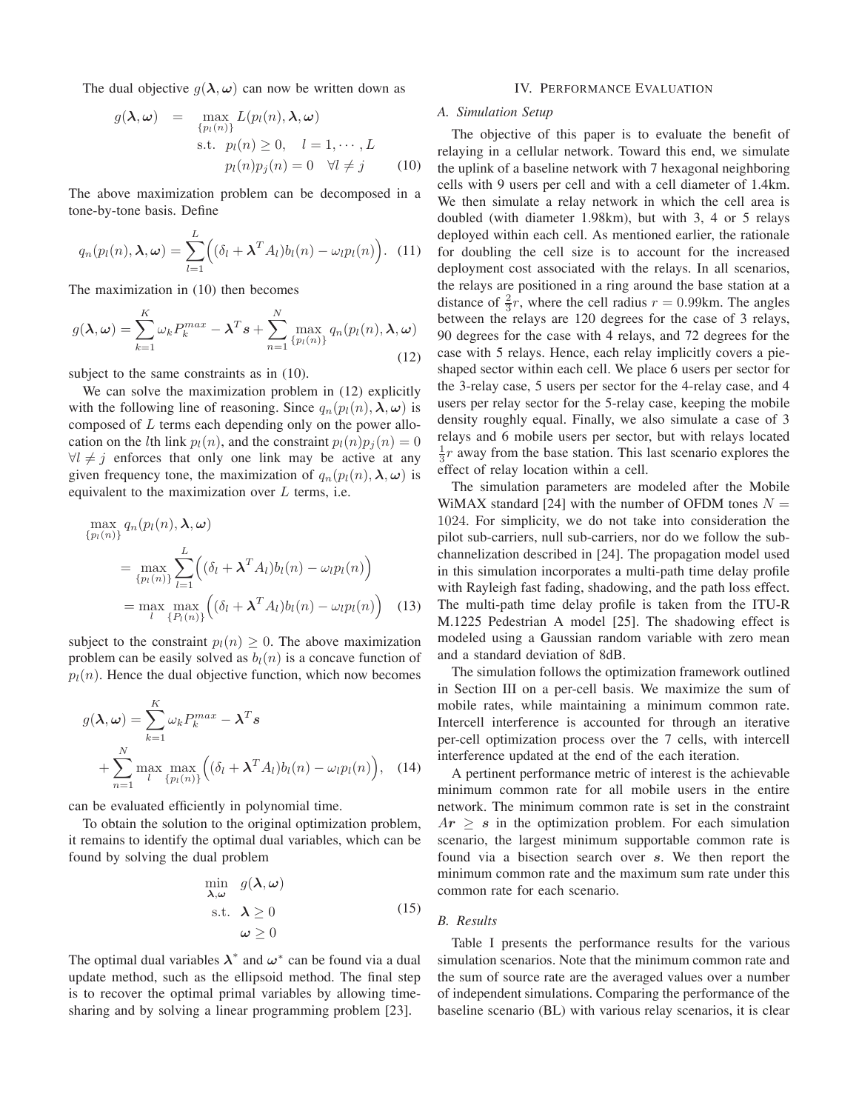The dual objective  $q(\lambda, \omega)$  can now be written down as

$$
g(\lambda, \omega) = \max_{\{p_l(n)\}} L(p_l(n), \lambda, \omega)
$$
  
s.t.  $p_l(n) \ge 0, \quad l = 1, \dots, L$   
 $p_l(n)p_j(n) = 0 \quad \forall l \ne j$  (10)

The above maximization problem can be decomposed in a tone-by-tone basis. Define

$$
q_n(p_l(n), \lambda, \omega) = \sum_{l=1}^{L} \Big( (\delta_l + \lambda^T A_l) b_l(n) - \omega_l p_l(n) \Big). \tag{11}
$$

The maximization in (10) then becomes

$$
g(\boldsymbol{\lambda}, \boldsymbol{\omega}) = \sum_{k=1}^{K} \omega_k P_k^{max} - \boldsymbol{\lambda}^T \boldsymbol{s} + \sum_{n=1}^{N} \max_{\{p_l(n)\}} q_n(p_l(n), \boldsymbol{\lambda}, \boldsymbol{\omega})
$$
(12)

subject to the same constraints as in  $(10)$ .

We can solve the maximization problem in (12) explicitly with the following line of reasoning. Since  $q_n(p_l(n), \lambda, \omega)$  is composed of L terms each depending only on the power allocation on the *l*th link  $p_l(n)$ , and the constraint  $p_l(n)p_j(n)=0$  $\forall l \neq j$  enforces that only one link may be active at any given frequency tone, the maximization of  $q_n(p_l(n), \lambda, \omega)$  is equivalent to the maximization over  $L$  terms, i.e.

$$
\max_{\{p_l(n)\}} q_n(p_l(n), \lambda, \omega)
$$
\n
$$
= \max_{\{p_l(n)\}} \sum_{l=1}^L \left( (\delta_l + \lambda^T A_l) b_l(n) - \omega_l p_l(n) \right)
$$
\n
$$
= \max_l \max_{\{P_l(n)\}} \left( (\delta_l + \lambda^T A_l) b_l(n) - \omega_l p_l(n) \right) \tag{13}
$$

subject to the constraint  $p_l(n) \geq 0$ . The above maximization problem can be easily solved as  $b_l(n)$  is a concave function of  $p_l(n)$ . Hence the dual objective function, which now becomes

$$
g(\lambda, \omega) = \sum_{k=1}^{K} \omega_k P_k^{max} - \lambda^T s
$$
  
+ 
$$
\sum_{n=1}^{N} \max_{l} \max_{\{p_l(n)\}} \left( (\delta_l + \lambda^T A_l) b_l(n) - \omega_l p_l(n) \right), \quad (14)
$$

can be evaluated efficiently in polynomial time.

To obtain the solution to the original optimization problem, it remains to identify the optimal dual variables, which can be found by solving the dual problem

$$
\min_{\lambda,\omega} g(\lambda,\omega)
$$
  
s.t.  $\lambda \ge 0$   
 $\omega \ge 0$  (15)

The optimal dual variables  $\lambda^*$  and  $\omega^*$  can be found via a dual update method, such as the ellipsoid method. The final step is to recover the optimal primal variables by allowing timesharing and by solving a linear programming problem [23].

#### IV. PERFORMANCE EVALUATION

# *A. Simulation Setup*

The objective of this paper is to evaluate the benefit of relaying in a cellular network. Toward this end, we simulate the uplink of a baseline network with 7 hexagonal neighboring cells with 9 users per cell and with a cell diameter of 1.4km. We then simulate a relay network in which the cell area is doubled (with diameter 1.98km), but with 3, 4 or 5 relays deployed within each cell. As mentioned earlier, the rationale for doubling the cell size is to account for the increased deployment cost associated with the relays. In all scenarios, the relays are positioned in a ring around the base station at a distance of  $\frac{2}{3}r$ , where the cell radius  $r = 0.99$ km. The angles between the relays are 120 degrees for the case of 3 relays, 90 degrees for the case with 4 relays, and 72 degrees for the case with 5 relays. Hence, each relay implicitly covers a pieshaped sector within each cell. We place 6 users per sector for the 3-relay case, 5 users per sector for the 4-relay case, and 4 users per relay sector for the 5-relay case, keeping the mobile density roughly equal. Finally, we also simulate a case of 3 relays and 6 mobile users per sector, but with relays located  $\frac{1}{3}r$  away from the base station. This last scenario explores the  $\frac{1}{3}r$  away from the base station within a cell effect of relay location within a cell.

The simulation parameters are modeled after the Mobile WiMAX standard [24] with the number of OFDM tones  $N =$ 1024. For simplicity, we do not take into consideration the pilot sub-carriers, null sub-carriers, nor do we follow the subchannelization described in [24]. The propagation model used in this simulation incorporates a multi-path time delay profile with Rayleigh fast fading, shadowing, and the path loss effect. The multi-path time delay profile is taken from the ITU-R M.1225 Pedestrian A model [25]. The shadowing effect is modeled using a Gaussian random variable with zero mean and a standard deviation of 8dB.

The simulation follows the optimization framework outlined in Section III on a per-cell basis. We maximize the sum of mobile rates, while maintaining a minimum common rate. Intercell interference is accounted for through an iterative per-cell optimization process over the 7 cells, with intercell interference updated at the end of the each iteration.

A pertinent performance metric of interest is the achievable minimum common rate for all mobile users in the entire network. The minimum common rate is set in the constraint  $Ar \geq s$  in the optimization problem. For each simulation scenario, the largest minimum supportable common rate is found via a bisection search over *s*. We then report the minimum common rate and the maximum sum rate under this common rate for each scenario.

# *B. Results*

Table I presents the performance results for the various simulation scenarios. Note that the minimum common rate and the sum of source rate are the averaged values over a number of independent simulations. Comparing the performance of the baseline scenario (BL) with various relay scenarios, it is clear